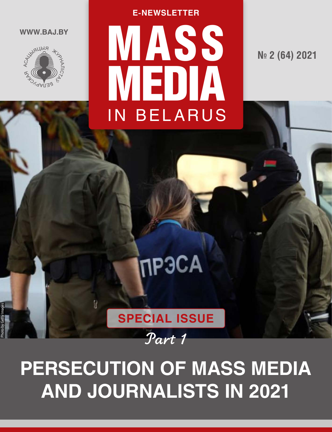

Photo by Getty Images

# WASS<sup></sup> MEDIA IN BELARUS **E-NEWSLETTER**

**№ 2 (64) 2021**

# ПРЭСА

## **PERSECUTION OF MASS MEDIA AND JOURNALISTS IN 2021**

**SPECIAL ISSUE**

R

Part 1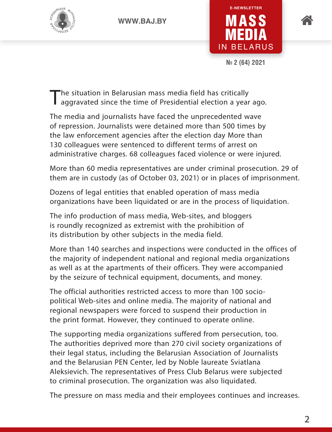





**№ 2 (64) 2021**

The situation in Belarusian mass media field has critically<br>aggravated since the time of Presidential election a year ago.

The media and journalists have faced the unprecedented wave of repression. Journalists were detained more than 500 times by the law enforcement agencies after the election day More than 130 colleagues were sentenced to different terms of arrest on administrative charges. 68 colleagues faced violence or were injured.

More than 60 media representatives are under criminal prosecution. 29 of them are in custody (as of October 03, 2021) or in places of imprisonment.

Dozens of legal entities that enabled operation of mass media organizations have been liquidated or are in the process of liquidation.

The info production of mass media, Web-sites, and bloggers is roundly recognized as extremist with the prohibition of its distribution by other subjects in the media field.

More than 140 searches and inspections were conducted in the offices of the majority of independent national and regional media organizations as well as at the apartments of their officers. They were accompanied by the seizure of technical equipment, documents, and money.

The official authorities restricted access to more than 100 sociopolitical Web-sites and online media. The majority of national and regional newspapers were forced to suspend their production in the print format. However, they continued to operate online.

The supporting media organizations suffered from persecution, too. The authorities deprived more than 270 civil society organizations of their legal status, including the Belarusian Association of Journalists and the Belarusian PEN Center, led by Noble laureate Sviatlana Aleksievich. The representatives of Press Club Belarus were subjected to criminal prosecution. The organization was also liquidated.

The pressure on mass media and their employees continues and increases.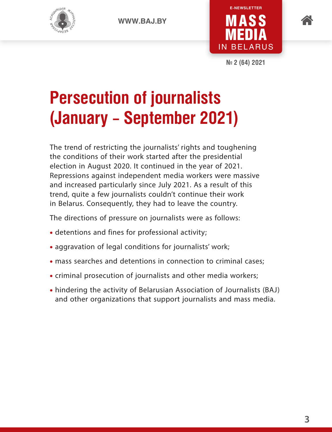







**№ 2 (64) 2021**

## **Persecution of journalists (January – September 2021)**

The trend of restricting the journalists' rights and toughening the conditions of their work started after the presidential election in August 2020. It continued in the year of 2021. Repressions against independent media workers were massive and increased particularly since July 2021. As a result of this trend, quite a few journalists couldn't continue their work in Belarus. Consequently, they had to leave the country.

The directions of pressure on journalists were as follows:

- detentions and fines for professional activity;
- aggravation of legal conditions for journalists' work;
- mass searches and detentions in connection to criminal cases;
- criminal prosecution of journalists and other media workers;
- hindering the activity of Belarusian Association of Journalists (BAJ) and other organizations that support journalists and mass media.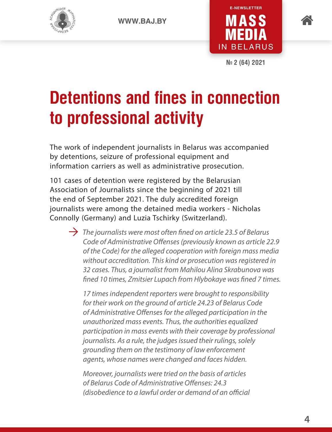





**№ 2 (64) 2021**

### **Detentions and fines in connection to professional activity**

The work of independent journalists in Belarus was accompanied by detentions, seizure of professional equipment and information carriers as well as administrative prosecution.

101 cases of detention were registered by the Belarusian Association of Journalists since the beginning of 2021 till the end of September 2021. The duly accredited foreign journalists were among the detained media workers - Nicholas Connolly (Germany) and Luzia Tschirky (Switzerland).

 $\rightarrow$  The journalists were most often fined on article 23.5 of Belarus *Code of Administrative Offenses (previously known as article 22.9 of the Code) for the alleged cooperation with foreign mass media without accreditation. This kind or prosecution was registered in 32 cases. Thus, a journalist from Mahilou Alina Skrabunova was fined 10 times, Zmitsier Lupach from Hlybokaye was fined 7 times.* 

*17 times independent reporters were brought to responsibility for their work on the ground of article 24.23 of Belarus Code of Administrative Offenses for the alleged participation in the unauthorized mass events. Thus, the authorities equalized participation in mass events with their coverage by professional journalists. As a rule, the judges issued their rulings, solely grounding them on the testimony of law enforcement agents, whose names were changed and faces hidden.* 

*Moreover, journalists were tried on the basis of articles of Belarus Code of Administrative Offenses: 24.3 (disobedience to a lawful order or demand of an official*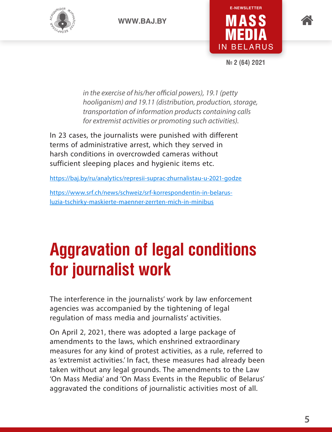





**№ 2 (64) 2021**

*in the exercise of his/her official powers), 19.1 (petty hooliganism) and 19.11 (distribution, production, storage, transportation of information products containing calls for extremist activities or promoting such activities).*

In 23 cases, the journalists were punished with different terms of administrative arrest, which they served in harsh conditions in overcrowded cameras without sufficient sleeping places and hygienic items etc.

https://baj.by/ru/analytics/represii-suprac-zhurnalistau-u-2021-godze

https://www.srf.ch/news/schweiz/srf-korrespondentin-in-belarusluzia-tschirky-maskierte-maenner-zerrten-mich-in-minibus

## **Aggravation of legal conditions for journalist work**

The interference in the journalists' work by law enforcement agencies was accompanied by the tightening of legal regulation of mass media and journalists' activities.

On April 2, 2021, there was adopted a large package of amendments to the laws, which enshrined extraordinary measures for any kind of protest activities, as a rule, referred to as 'extremist activities.' In fact, these measures had already been taken without any legal grounds. The amendments to the Law 'On Mass Media' and 'On Mass Events in the Republic of Belarus' aggravated the conditions of journalistic activities most of all.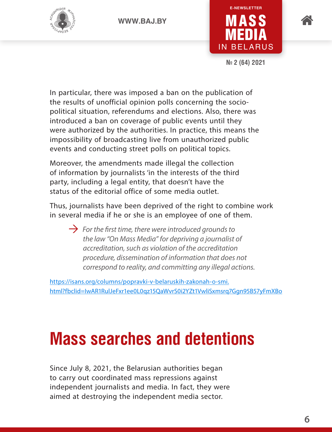





**№ 2 (64) 2021**

In particular, there was imposed a ban on the publication of the results of unofficial opinion polls concerning the sociopolitical situation, referendums and elections. Also, there was introduced a ban on coverage of public events until they were authorized by the authorities. In practice, this means the impossibility of broadcasting live from unauthorized public events and conducting street polls on political topics.

Moreover, the amendments made illegal the collection of information by journalists 'in the interests of the third party, including a legal entity, that doesn't have the status of the editorial office of some media outlet.

Thus, journalists have been deprived of the right to combine work in several media if he or she is an employee of one of them.

 $\rightarrow$  *For the first time, there were introduced grounds to the law "On Mass Media" for depriving a journalist of accreditation, such as violation of the accreditation procedure, dissemination of information that does not correspond to reality, and committing any illegal actions.*

[https://isans.org/columns/popravki-v-belaruskih-zakonah-o-smi.](https://isans.org/columns/popravki-v-belaruskih-zakonah-o-smi.html?fbclid=IwAR1RulJeFxr1ee0L0qz15QaWvrS0i2YZt1VwliSxmsrq7Ggn95B57yFmXBo) [html?fbclid=IwAR1RulJeFxr1ee0L0qz15QaWvrS0i2YZt1VwliSxmsrq7Ggn95B57yFmXBo](https://isans.org/columns/popravki-v-belaruskih-zakonah-o-smi.html?fbclid=IwAR1RulJeFxr1ee0L0qz15QaWvrS0i2YZt1VwliSxmsrq7Ggn95B57yFmXBo) 

### **Mass searches and detentions**

Since July 8, 2021, the Belarusian authorities began to carry out coordinated mass repressions against independent journalists and media. In fact, they were aimed at destroying the independent media sector.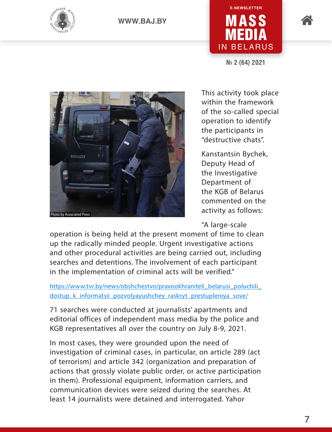



**№ 2 (64) 2021**





This activity took place within the framework of the so-called special operation to identify the participants in "destructive chats".

Kanstantsin Bychek, Deputy Head of the Investigative Department of the KGB of Belarus commented on the activity as follows:

"A large-scale

operation is being held at the present moment of time to clean up the radically minded people. Urgent investigative actions and other procedural activities are being carried out, including searches and detentions. The involvement of each participant in the implementation of criminal acts will be verified."

https://www.tvr.by/news/obshchestvo/pravookhraniteli\_belarusi\_poluchili dostup k informatsii pozvolyayushchey raskryt prestupleniya sove/

71 searches were conducted at journalists' apartments and editorial offices of independent mass media by the police and KGB representatives all over the country on July 8-9, 2021.

In most cases, they were grounded upon the need of investigation of criminal cases, in particular, on article 289 (act of terrorism) and article 342 (organization and preparation of actions that grossly violate public order, or active participation in them). Professional equipment, information carriers, and communication devices were seized during the searches. At least 14 journalists were detained and interrogated. Yahor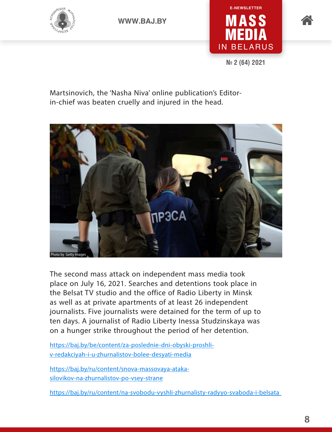





**№ 2 (64) 2021**

Martsinovich, the 'Nasha Niva' online publication's Editorin-chief was beaten cruelly and injured in the head.



The second mass attack on independent mass media took place on July 16, 2021. Searches and detentions took place in the Belsat TV studio and the office of Radio Liberty in Minsk as well as at private apartments of at least 26 independent journalists. Five journalists were detained for the term of up to ten days. A journalist of Radio Liberty Inessa Studzinskaya was on a hunger strike throughout the period of her detention.

[https://baj.by/be/content/za-poslednie-dni-obyski-proshli](https://baj.by/be/content/za-poslednie-dni-obyski-proshli-v-redakciyah-i-u-zhurnalistov-bolee-desyati-media)[v-redakciyah-i-u-zhurnalistov-bolee-desyati-media](https://baj.by/be/content/za-poslednie-dni-obyski-proshli-v-redakciyah-i-u-zhurnalistov-bolee-desyati-media)

[https://baj.by/ru/content/snova-massovaya-ataka](https://baj.by/ru/content/snova-massovaya-ataka-silovikov-na-zhurnalistov-po-vsey-strane)[silovikov-na-zhurnalistov-po-vsey-strane](https://baj.by/ru/content/snova-massovaya-ataka-silovikov-na-zhurnalistov-po-vsey-strane)

<https://baj.by/ru/content/na-svobodu-vyshli-zhurnalisty-radyyo-svaboda-i-belsata>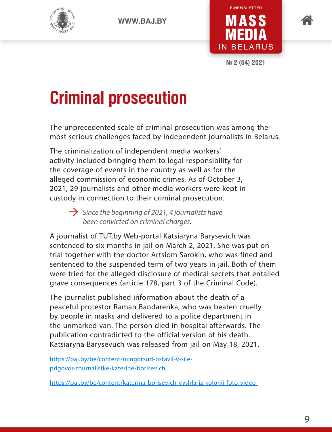





**№ 2 (64) 2021**

### **Criminal prosecution**

The unprecedented scale of criminal prosecution was among the most serious challenges faced by independent journalists in Belarus.

The criminalization of independent media workers' activity included bringing them to legal responsibility for the coverage of events in the country as well as for the alleged commission of economic crimes. As of October 3, 2021, 29 journalists and other media workers were kept in custody in connection to their criminal prosecution.

 $\rightarrow$  Since the beginning of 2021, 4 journalists have *been convicted on criminal charges.* 

A journalist of TUT.by Web-portal Katsiaryna Barysevich was sentenced to six months in jail on March 2, 2021. She was put on trial together with the doctor Artsiom Sarokin, who was fined and sentenced to the suspended term of two years in jail. Both of them were tried for the alleged disclosure of medical secrets that entailed grave consequences (article 178, part 3 of the Criminal Code).

The journalist published information about the death of a peaceful protestor Raman Bandarenka, who was beaten cruelly by people in masks and delivered to a police department in the unmarked van. The person died in hospital afterwards. The publication contradicted to the official version of his death. Katsiaryna Barysevuch was released from jail on May 18, 2021.

[https://baj.by/be/content/mingorsud-ostavil-v-sile](https://baj.by/be/content/mingorsud-ostavil-v-sile-prigovor-zhurnalistke-katerine-borisevich)[prigovor-zhurnalistke-katerine-borisevich](https://baj.by/be/content/mingorsud-ostavil-v-sile-prigovor-zhurnalistke-katerine-borisevich)

<https://baj.by/be/content/katerina-borisevich-vyshla-iz-kolonii-foto-video>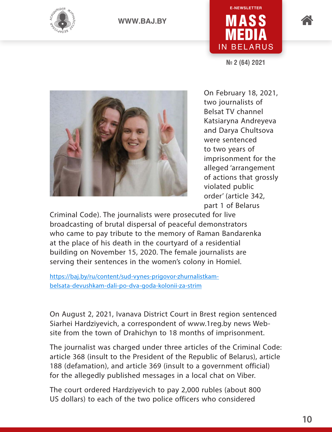



**№ 2 (64) 2021**



On February 18, 2021, two journalists of Belsat TV channel Katsiaryna Andreyeva and Darya Chultsova were sentenced to two years of imprisonment for the alleged 'arrangement of actions that grossly violated public order' (article 342, part 1 of Belarus

Criminal Code). The journalists were prosecuted for live broadcasting of brutal dispersal of peaceful demonstrators who came to pay tribute to the memory of Raman Bandarenka at the place of his death in the courtyard of a residential building on November 15, 2020. The female journalists are serving their sentences in the women's colony in Homiel.

[https://baj.by/ru/content/sud-vynes-prigovor-zhurnalistkam](https://baj.by/ru/content/sud-vynes-prigovor-zhurnalistkam-belsata-devushkam-dali-po-dva-goda-kolonii-za-strim)[belsata-devushkam-dali-po-dva-goda-kolonii-za-strim](https://baj.by/ru/content/sud-vynes-prigovor-zhurnalistkam-belsata-devushkam-dali-po-dva-goda-kolonii-za-strim)

On August 2, 2021, Ivanava District Court in Brest region sentenced Siarhei Hardziyevich, a correspondent of www.1reg.by news Website from the town of Drahichyn to 18 months of imprisonment.

The journalist was charged under three articles of the Criminal Code: article 368 (insult to the President of the Republic of Belarus), article 188 (defamation), and article 369 (insult to a government official) for the allegedly published messages in a local chat on Viber.

The court ordered Hardziyevich to pay 2,000 rubles (about 800 US dollars) to each of the two police officers who considered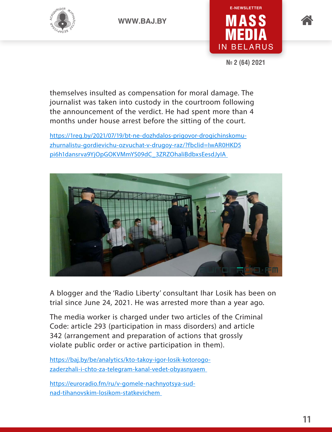





**№ 2 (64) 2021**

themselves insulted as compensation for moral damage. The journalist was taken into custody in the courtroom following the announcement of the verdict. He had spent more than 4 months under house arrest before the sitting of the court.

[https://1reg.by/2021/07/19/bt-ne-dozhdalos-prigovor-drogichinskomu](https://1reg.by/2021/07/19/bt-ne-dozhdalos-prigovor-drogichinskomu-zhurnalistu-gordievichu-ozvuchat-v-drugoy-raz/?fbclid=IwAR0HKD5pi6h1dansrva9YjOpGOKVMmYS09dC_3ZRZOhaliBdbxsEesdJyIA)[zhurnalistu-gordievichu-ozvuchat-v-drugoy-raz/?fbclid=IwAR0HKD5](https://1reg.by/2021/07/19/bt-ne-dozhdalos-prigovor-drogichinskomu-zhurnalistu-gordievichu-ozvuchat-v-drugoy-raz/?fbclid=IwAR0HKD5pi6h1dansrva9YjOpGOKVMmYS09dC_3ZRZOhaliBdbxsEesdJyIA) [pi6h1dansrva9YjOpGOKVMmYS09dC\\_3ZRZOhaliBdbxsEesdJyIA](https://1reg.by/2021/07/19/bt-ne-dozhdalos-prigovor-drogichinskomu-zhurnalistu-gordievichu-ozvuchat-v-drugoy-raz/?fbclid=IwAR0HKD5pi6h1dansrva9YjOpGOKVMmYS09dC_3ZRZOhaliBdbxsEesdJyIA) 



A blogger and the 'Radio Liberty' consultant Ihar Losik has been on trial since June 24, 2021. He was arrested more than a year ago.

The media worker is charged under two articles of the Criminal Code: article 293 (participation in mass disorders) and article 342 (arrangement and preparation of actions that grossly violate public order or active participation in them).

[https://baj.by/be/analytics/kto-takoy-igor-losik-kotorogo](https://baj.by/be/analytics/kto-takoy-igor-losik-kotorogo-zaderzhali-i-chto-za-telegram-kanal-vedet-obyasnyaem)[zaderzhali-i-chto-za-telegram-kanal-vedet-obyasnyaem](https://baj.by/be/analytics/kto-takoy-igor-losik-kotorogo-zaderzhali-i-chto-za-telegram-kanal-vedet-obyasnyaem)

https://euroradio.fm/ru/v-gomele-nachnyotsya-sudnad-tihanovskim-losikom-statkevichem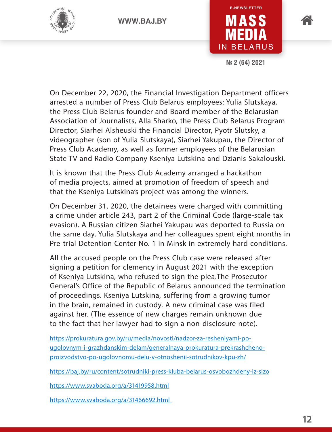



**№ 2 (64) 2021**

On December 22, 2020, the Financial Investigation Department officers arrested a number of Press Club Belarus employees: Yulia Slutskaya, the Press Club Belarus founder and Board member of the Belarusian Association of Journalists, Alla Sharko, the Press Club Belarus Program Director, Siarhei Alsheuski the Financial Director, Pyotr Slutsky, a videographer (son of Yulia Slutskaya), Siarhei Yakupau, the Director of Press Club Academy, as well as former employees of the Belarusian State TV and Radio Company Kseniya Lutskina and Dzianis Sakalouski.

It is known that the Press Club Academy arranged a hackathon of media projects, aimed at promotion of freedom of speech and that the Kseniya Lutskina's project was among the winners.

On December 31, 2020, the detainees were charged with committing a crime under article 243, part 2 of the Criminal Code (large-scale tax evasion). A Russian citizen Siarhei Yakupau was deported to Russia on the same day. Yulia Slutskaya and her colleagues spent eight months in Pre-trial Detention Center No. 1 in Minsk in extremely hard conditions.

All the accused people on the Press Club case were released after signing a petition for clemency in August 2021 with the exception of Kseniya Lutskina, who refused to sign the plea.The Prosecutor General's Office of the Republic of Belarus announced the termination of proceedings. Kseniya Lutskina, suffering from a growing tumor in the brain, remained in custody. A new criminal case was filed against her. (The essence of new charges remain unknown due to the fact that her lawyer had to sign a non-disclosure note).

[https://prokuratura.gov.by/ru/media/novosti/nadzor-za-resheniyami-po](https://prokuratura.gov.by/ru/media/novosti/nadzor-za-resheniyami-po-ugolovnym-i-grazhdanskim-delam/generalnaya-prokuratura-prekrashcheno-proizvodstvo-po-ugolovnomu-delu-v-otnoshenii-sotrudnikov-kpu-zh/)[ugolovnym-i-grazhdanskim-delam/generalnaya-prokuratura-prekrashcheno](https://prokuratura.gov.by/ru/media/novosti/nadzor-za-resheniyami-po-ugolovnym-i-grazhdanskim-delam/generalnaya-prokuratura-prekrashcheno-proizvodstvo-po-ugolovnomu-delu-v-otnoshenii-sotrudnikov-kpu-zh/)[proizvodstvo-po-ugolovnomu-delu-v-otnoshenii-sotrudnikov-kpu-zh/](https://prokuratura.gov.by/ru/media/novosti/nadzor-za-resheniyami-po-ugolovnym-i-grazhdanskim-delam/generalnaya-prokuratura-prekrashcheno-proizvodstvo-po-ugolovnomu-delu-v-otnoshenii-sotrudnikov-kpu-zh/)

<https://baj.by/ru/content/sotrudniki-press-kluba-belarus-osvobozhdeny-iz-sizo>

<https://www.svaboda.org/a/31419958.html>

<https://www.svaboda.org/a/31466692.html>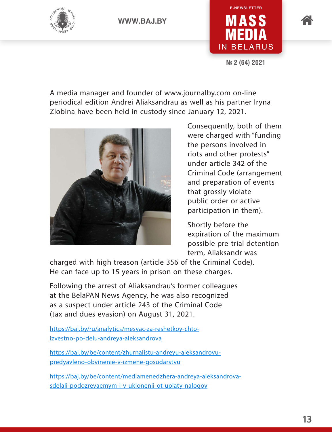



**№ 2 (64) 2021**

A media manager and founder of www.journalby.com on-line periodical edition Andrei Aliaksandrau as well as his partner Iryna Zlobina have been held in custody since January 12, 2021.



Consequently, both of them were charged with "funding the persons involved in riots and other protests" under article 342 of the Criminal Code (arrangement and preparation of events that grossly violate public order or active participation in them).

Shortly before the expiration of the maximum possible pre-trial detention term, Aliaksandr was

charged with high treason (article 356 of the Criminal Code). He can face up to 15 years in prison on these charges.

Following the arrest of Aliaksandrau's former colleagues at the BelaPAN News Agency, he was also recognized as a suspect under article 243 of the Criminal Code (tax and dues evasion) on August 31, 2021.

https://baj.by/ru/analytics/mesyac-za-reshetkoy-chtoizvestno-po-delu-andreya-aleksandrova

[https://baj.by/be/content/zhurnalistu-andreyu-aleksandrovu](https://baj.by/be/content/zhurnalistu-andreyu-aleksandrovu-predyavleno-obvinenie-v-izmene-gosudarstvu)[predyavleno-obvinenie-v-izmene-gosudarstvu](https://baj.by/be/content/zhurnalistu-andreyu-aleksandrovu-predyavleno-obvinenie-v-izmene-gosudarstvu)

[https://baj.by/be/content/mediamenedzhera-andreya-aleksandrova](https://baj.by/be/content/mediamenedzhera-andreya-aleksandrova-sdelali-podozrevaemym-i-v-uklonenii-ot-uplaty-nalogov)[sdelali-podozrevaemym-i-v-uklonenii-ot-uplaty-nalogov](https://baj.by/be/content/mediamenedzhera-andreya-aleksandrova-sdelali-podozrevaemym-i-v-uklonenii-ot-uplaty-nalogov)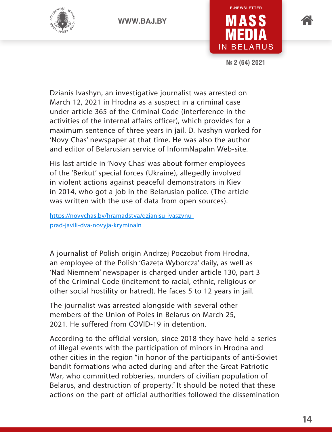





**№ 2 (64) 2021**

Dzianis Ivashyn, an investigative journalist was arrested on March 12, 2021 in Hrodna as a suspect in a criminal case under article 365 of the Criminal Code (interference in the activities of the internal affairs officer), which provides for a maximum sentence of three years in jail. D. Ivashyn worked for 'Novy Chas' newspaper at that time. He was also the author and editor of Belarusian service of InformNapalm Web-site.

His last article in 'Novy Chas' was about former employees of the 'Berkut' special forces (Ukraine), allegedly involved in violent actions against peaceful demonstrators in Kiev in 2014, who got a job in the Belarusian police. (The article was written with the use of data from open sources).

[https://novychas.by/hramadstva/dzjanisu-ivaszynu](https://novychas.by/hramadstva/dzjanisu-ivaszynu-prad-javili-dva-novyja-kryminaln)[prad-javili-dva-novyja-kryminaln](https://novychas.by/hramadstva/dzjanisu-ivaszynu-prad-javili-dva-novyja-kryminaln) 

A journalist of Polish origin Andrzej Poczobut from Hrodna, an employee of the Polish 'Gazeta Wyborcza' daily, as well as 'Nad Niemnem' newspaper is charged under article 130, part 3 of the Criminal Code (incitement to racial, ethnic, religious or other social hostility or hatred). He faces 5 to 12 years in jail.

The journalist was arrested alongside with several other members of the Union of Poles in Belarus on March 25, 2021. He suffered from COVID-19 in detention.

According to the official version, since 2018 they have held a series of illegal events with the participation of minors in Hrodna and other cities in the region "in honor of the participants of anti-Soviet bandit formations who acted during and after the Great Patriotic War, who committed robberies, murders of civilian population of Belarus, and destruction of property." It should be noted that these actions on the part of official authorities followed the dissemination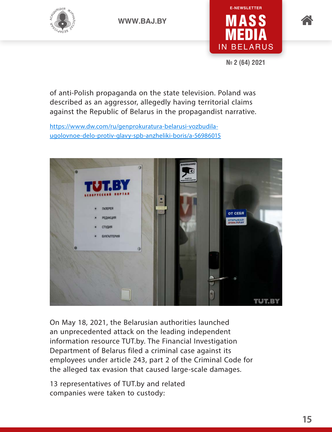





**№ 2 (64) 2021**

of anti-Polish propaganda on the state television. Poland was described as an aggressor, allegedly having territorial claims against the Republic of Belarus in the propagandist narrative.

[https://www.dw.com/ru/genprokuratura-belarusi-vozbudila](https://www.dw.com/ru/genprokuratura-belarusi-vozbudila-ugolovnoe-delo-protiv-glavy-spb-anzheliki-boris/a-56986015)[ugolovnoe-delo-protiv-glavy-spb-anzheliki-boris/a-56986015](https://www.dw.com/ru/genprokuratura-belarusi-vozbudila-ugolovnoe-delo-protiv-glavy-spb-anzheliki-boris/a-56986015)



On May 18, 2021, the Belarusian authorities launched an unprecedented attack on the leading independent information resource TUT.by. The Financial Investigation Department of Belarus filed a criminal case against its employees under article 243, part 2 of the Criminal Code for the alleged tax evasion that caused large-scale damages.

13 representatives of TUT.by and related companies were taken to custody: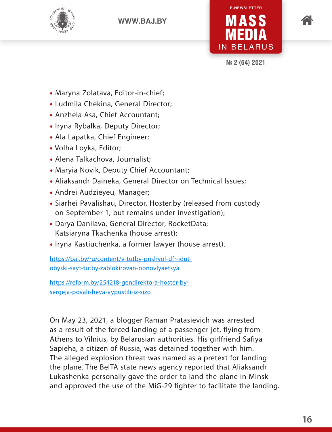



**№ 2 (64) 2021**

- Maryna Zolatava, Editor-in-chief;
- Ludmila Chekina, General Director;
- Anzhela Asa, Chief Accountant;
- Iryna Rybalka, Deputy Director;
- Ala Lapatka, Chief Engineer;
- Volha Loyka, Editor;
- Alena Talkachova, Journalist;
- Maryia Novik, Deputy Chief Accountant;
- Aliaksandr Daineka, General Director on Technical Issues;
- Andrei Audzieyeu, Manager;
- Siarhei Pavalishau, Director, Hoster.by (released from custody on September 1, but remains under investigation);
- Darya Danilava, General Director, RocketData; Katsiaryna Tkachenka (house arrest);
- Iryna Kastiuchenka, a former lawyer (house arrest).

[https://baj.by/ru/content/v-tutby-prishyol-dfr-idut](https://baj.by/ru/content/v-tutby-prishyol-dfr-idut-obyski-sayt-tutby-zablokirovan-obnovlyaetsya)[obyski-sayt-tutby-zablokirovan-obnovlyaetsya](https://baj.by/ru/content/v-tutby-prishyol-dfr-idut-obyski-sayt-tutby-zablokirovan-obnovlyaetsya)

[https://reform.by/254218-gendirektora-hoster-by](https://reform.by/254218-gendirektora-hoster-by-sergeja-povalisheva-vypustili-iz-sizo)[sergeja-povalisheva-vypustili-iz-sizo](https://reform.by/254218-gendirektora-hoster-by-sergeja-povalisheva-vypustili-iz-sizo)

On May 23, 2021, a blogger Raman Pratasievich was arrested as a result of the forced landing of a passenger jet, flying from Athens to Vilnius, by Belarusian authorities. His girlfriend Safiya Sapieha, a citizen of Russia, was detained together with him. The alleged explosion threat was named as a pretext for landing the plane. The BelTA state news agency reported that Aliaksandr Lukashenka personally gave the order to land the plane in Minsk and approved the use of the MiG-29 fighter to facilitate the landing.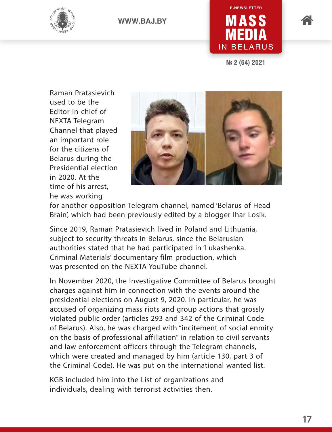





**№ 2 (64) 2021**

Raman Pratasievich used to be the Editor-in-chief of NEXTA Telegram Channel that played an important role for the citizens of Belarus during the Presidential election in 2020. At the time of his arrest, he was working



for another opposition Telegram channel, named 'Belarus of Head Brain', which had been previously edited by a blogger Ihar Losik.

Since 2019, Raman Pratasievich lived in Poland and Lithuania, subject to security threats in Belarus, since the Belarusian authorities stated that he had participated in 'Lukashenka. Criminal Materials' documentary film production, which was presented on the NEXTA YouTube channel.

In November 2020, the Investigative Committee of Belarus brought charges against him in connection with the events around the presidential elections on August 9, 2020. In particular, he was accused of organizing mass riots and group actions that grossly violated public order (articles 293 and 342 of the Criminal Code of Belarus). Also, he was charged with "incitement of social enmity on the basis of professional affiliation" in relation to civil servants and law enforcement officers through the Telegram channels, which were created and managed by him (article 130, part 3 of the Criminal Code). He was put on the international wanted list.

KGB included him into the List of organizations and individuals, dealing with terrorist activities then.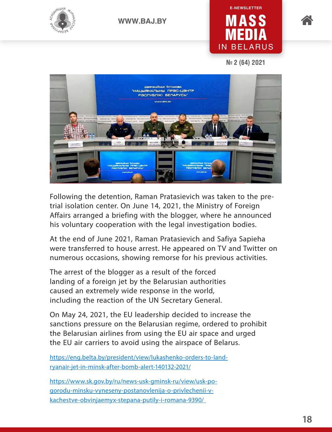

### MASS MEDIA IN BELARUS **E-NEWSLETTER**



**№ 2 (64) 2021**



Following the detention, Raman Pratasievich was taken to the pretrial isolation center. On June 14, 2021, the Ministry of Foreign Affairs arranged a briefing with the blogger, where he announced his voluntary cooperation with the legal investigation bodies.

At the end of June 2021, Raman Pratasievich and Safiya Sapieha were transferred to house arrest. He appeared on TV and Twitter on numerous occasions, showing remorse for his previous activities.

The arrest of the blogger as a result of the forced landing of a foreign jet by the Belarusian authorities caused an extremely wide response in the world, including the reaction of the UN Secretary General.

On May 24, 2021, the EU leadership decided to increase the sanctions pressure on the Belarusian regime, ordered to prohibit the Belarusian airlines from using the EU air space and urged the EU air carriers to avoid using the airspace of Belarus.

[https://eng.belta.by/president/view/lukashenko-orders-to-land](https://eng.belta.by/president/view/lukashenko-orders-to-land-ryanair-jet-in-minsk-after-bomb-alert-140132-2021/)[ryanair-jet-in-minsk-after-bomb-alert-140132-2021/](https://eng.belta.by/president/view/lukashenko-orders-to-land-ryanair-jet-in-minsk-after-bomb-alert-140132-2021/)

[https://www.sk.gov.by/ru/news-usk-gminsk-ru/view/usk-po](https://www.sk.gov.by/ru/news-usk-gminsk-ru/view/usk-po-gorodu-minsku-vyneseny-postanovlenija-o-privlechenii-v-kachestve-obvinjaemyx-stepana-putily-i-romana-9390/)[gorodu-minsku-vyneseny-postanovlenija-o-privlechenii-v](https://www.sk.gov.by/ru/news-usk-gminsk-ru/view/usk-po-gorodu-minsku-vyneseny-postanovlenija-o-privlechenii-v-kachestve-obvinjaemyx-stepana-putily-i-romana-9390/)[kachestve-obvinjaemyx-stepana-putily-i-romana-9390/](https://www.sk.gov.by/ru/news-usk-gminsk-ru/view/usk-po-gorodu-minsku-vyneseny-postanovlenija-o-privlechenii-v-kachestve-obvinjaemyx-stepana-putily-i-romana-9390/)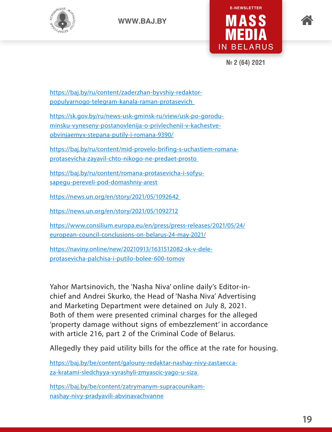





**№ 2 (64) 2021**

[https://baj.by/ru/content/zaderzhan-byvshiy-redaktor](https://baj.by/ru/content/zaderzhan-byvshiy-redaktor-populyarnogo-telegram-kanala-raman-protasevich)[populyarnogo-telegram-kanala-raman-protasevich](https://baj.by/ru/content/zaderzhan-byvshiy-redaktor-populyarnogo-telegram-kanala-raman-protasevich) 

[https://sk.gov.by/ru/news-usk-gminsk-ru/view/usk-po-gorodu](https://sk.gov.by/ru/news-usk-gminsk-ru/view/usk-po-gorodu-minsku-vyneseny-postanovlenija-o-privlechenii-v-kachestve-obvinjaemyx-stepana-putily-i-romana-9390/)[minsku-vyneseny-postanovlenija-o-privlechenii-v-kachestve](https://sk.gov.by/ru/news-usk-gminsk-ru/view/usk-po-gorodu-minsku-vyneseny-postanovlenija-o-privlechenii-v-kachestve-obvinjaemyx-stepana-putily-i-romana-9390/)[obvinjaemyx-stepana-putily-i-romana-9390/](https://sk.gov.by/ru/news-usk-gminsk-ru/view/usk-po-gorodu-minsku-vyneseny-postanovlenija-o-privlechenii-v-kachestve-obvinjaemyx-stepana-putily-i-romana-9390/)

[https://baj.by/ru/content/mid-provelo-brifing-s-uchastiem-romana](https://baj.by/ru/content/mid-provelo-brifing-s-uchastiem-romana-protasevicha-zayavil-chto-nikogo-ne-predaet-prosto)[protasevicha-zayavil-chto-nikogo-ne-predaet-prosto](https://baj.by/ru/content/mid-provelo-brifing-s-uchastiem-romana-protasevicha-zayavil-chto-nikogo-ne-predaet-prosto) 

[https://baj.by/ru/content/romana-protasevicha-i-sofyu](https://baj.by/ru/content/romana-protasevicha-i-sofyu-sapegu-pereveli-pod-domashniy-arest)[sapegu-pereveli-pod-domashniy-arest](https://baj.by/ru/content/romana-protasevicha-i-sofyu-sapegu-pereveli-pod-domashniy-arest)

<https://news.un.org/en/story/2021/05/1092642>

<https://news.un.org/en/story/2021/05/1092712>

[https://www.consilium.europa.eu/en/press/press-releases/2021/05/24/](https://www.consilium.europa.eu/en/press/press-releases/2021/05/24/european-council-conclusions-on-belarus-24-may-2021/) [european-council-conclusions-on-belarus-24-may-2021/](https://www.consilium.europa.eu/en/press/press-releases/2021/05/24/european-council-conclusions-on-belarus-24-may-2021/)

[https://naviny.online/new/20210913/1631512082-sk-v-dele](https://naviny.online/new/20210913/1631512082-sk-v-dele-protasevicha-palchisa-i-putilo-bolee-600-tomov)[protasevicha-palchisa-i-putilo-bolee-600-tomov](https://naviny.online/new/20210913/1631512082-sk-v-dele-protasevicha-palchisa-i-putilo-bolee-600-tomov)

Yahor Martsinovich, the 'Nasha Niva' online daily's Editor-inchief and Andrei Skurko, the Head of 'Nasha Niva' Advertising and Marketing Department were detained on July 8, 2021. Both of them were presented criminal charges for the alleged 'property damage without signs of embezzlement' in accordance with article 216, part 2 of the Criminal Code of Belarus.

Allegedly they paid utility bills for the office at the rate for housing.

[https://baj.by/be/content/galouny-redaktar-nashay-nivy-zastaecca](https://baj.by/be/content/galouny-redaktar-nashay-nivy-zastaecca-za-kratami-sledchyya-vyrashyli-zmyascic-yago-u-siza)[za-kratami-sledchyya-vyrashyli-zmyascic-yago-u-siza](https://baj.by/be/content/galouny-redaktar-nashay-nivy-zastaecca-za-kratami-sledchyya-vyrashyli-zmyascic-yago-u-siza) 

[https://baj.by/be/content/zatrymanym-supracounikam](https://baj.by/be/content/zatrymanym-supracounikam-nashay-nivy-pradyavili-abvinavachvanne)[nashay-nivy-pradyavili-abvinavachvanne](https://baj.by/be/content/zatrymanym-supracounikam-nashay-nivy-pradyavili-abvinavachvanne)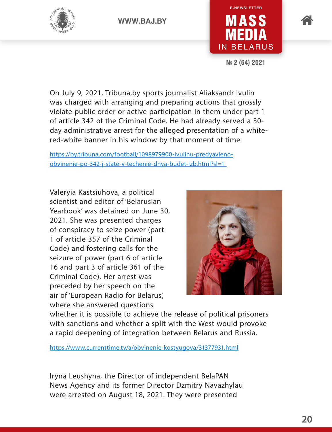



**№ 2 (64) 2021**

On July 9, 2021, Tribuna.by sports journalist Aliaksandr Ivulin was charged with arranging and preparing actions that grossly violate public order or active participation in them under part 1 of article 342 of the Criminal Code. He had already served a 30 day administrative arrest for the alleged presentation of a whitered-white banner in his window by that moment of time.

[https://by.tribuna.com/football/1098979900-ivulinu-predyavleno](https://by.tribuna.com/football/1098979900-ivulinu-predyavleno-obvinenie-po-342-j-state-v-techenie-dnya-budet-izb.html?sl=1)[obvinenie-po-342-j-state-v-techenie-dnya-budet-izb.html?sl=1](https://by.tribuna.com/football/1098979900-ivulinu-predyavleno-obvinenie-po-342-j-state-v-techenie-dnya-budet-izb.html?sl=1) 

Valeryia Kastsiuhova, a political scientist and editor of 'Belarusian Yearbook' was detained on June 30, 2021. She was presented charges of conspiracy to seize power (part 1 of article 357 of the Criminal Code) and fostering calls for the seizure of power (part 6 of article 16 and part 3 of article 361 of the Criminal Code). Her arrest was preceded by her speech on the air of 'European Radio for Belarus', where she answered questions



whether it is possible to achieve the release of political prisoners with sanctions and whether a split with the West would provoke a rapid deepening of integration between Belarus and Russia.

<https://www.currenttime.tv/a/obvinenie-kostyugova/31377931.html>

Iryna Leushyna, the Director of independent BelaPAN News Agency and its former Director Dzmitry Navazhylau were arrested on August 18, 2021. They were presented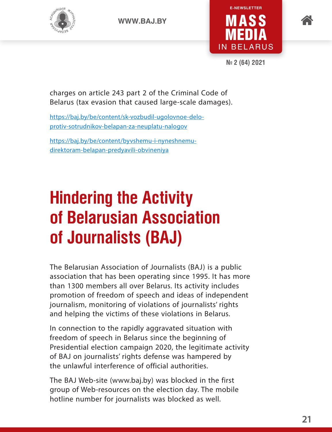





**№ 2 (64) 2021**

charges on article 243 part 2 of the Criminal Code of Belarus (tax evasion that caused large-scale damages).

[https://baj.by/be/content/sk-vozbudil-ugolovnoe-delo](https://baj.by/be/content/sk-vozbudil-ugolovnoe-delo-protiv-sotrudnikov-belapan-za-neuplatu-nalogov)[protiv-sotrudnikov-belapan-za-neuplatu-nalogov](https://baj.by/be/content/sk-vozbudil-ugolovnoe-delo-protiv-sotrudnikov-belapan-za-neuplatu-nalogov)

[https://baj.by/be/content/byvshemu-i-nyneshnemu](https://baj.by/be/content/byvshemu-i-nyneshnemu-direktoram-belapan-predyavili-obvineniya)[direktoram-belapan-predyavili-obvineniya](https://baj.by/be/content/byvshemu-i-nyneshnemu-direktoram-belapan-predyavili-obvineniya)

### **Hindering the Activity of Belarusian Association of Journalists (BAJ)**

The Belarusian Association of Journalists (BAJ) is a public association that has been operating since 1995. It has more than 1300 members all over Belarus. Its activity includes promotion of freedom of speech and ideas of independent journalism, monitoring of violations of journalists' rights and helping the victims of these violations in Belarus.

In connection to the rapidly aggravated situation with freedom of speech in Belarus since the beginning of Presidential election campaign 2020, the legitimate activity of BAJ on journalists' rights defense was hampered by the unlawful interference of official authorities.

The BAJ Web-site (www.baj.by) was blocked in the first group of Web-resources on the election day. The mobile hotline number for journalists was blocked as well.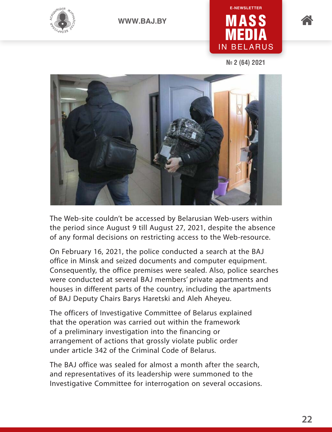



**№ 2 (64) 2021**



The Web-site couldn't be accessed by Belarusian Web-users within the period since August 9 till August 27, 2021, despite the absence of any formal decisions on restricting access to the Web-resource.

On February 16, 2021, the police conducted a search at the BAJ office in Minsk and seized documents and computer equipment. Consequently, the office premises were sealed. Also, police searches were conducted at several BAJ members' private apartments and houses in different parts of the country, including the apartments of BAJ Deputy Chairs Barys Haretski and Aleh Aheyeu.

The officers of Investigative Committee of Belarus explained that the operation was carried out within the framework of a preliminary investigation into the financing or arrangement of actions that grossly violate public order under article 342 of the Criminal Code of Belarus.

The BAJ office was sealed for almost a month after the search, and representatives of its leadership were summoned to the Investigative Committee for interrogation on several occasions.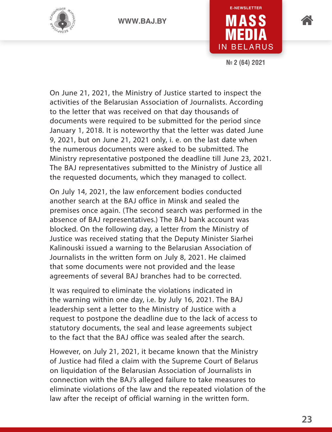



**№ 2 (64) 2021**

On June 21, 2021, the Ministry of Justice started to inspect the activities of the Belarusian Association of Journalists. According to the letter that was received on that day thousands of documents were required to be submitted for the period since January 1, 2018. It is noteworthy that the letter was dated June 9, 2021, but on June 21, 2021 only, i. e. on the last date when the numerous documents were asked to be submitted. The Ministry representative postponed the deadline till June 23, 2021. The BAJ representatives submitted to the Ministry of Justice all the requested documents, which they managed to collect.

On July 14, 2021, the law enforcement bodies conducted another search at the BAJ office in Minsk and sealed the premises once again. (The second search was performed in the absence of BAJ representatives.) The BAJ bank account was blocked. On the following day, a letter from the Ministry of Justice was received stating that the Deputy Minister Siarhei Kalinouski issued a warning to the Belarusian Association of Journalists in the written form on July 8, 2021. He claimed that some documents were not provided and the lease agreements of several BAJ branches had to be corrected.

It was required to eliminate the violations indicated in the warning within one day, i.e. by July 16, 2021. The BAJ leadership sent a letter to the Ministry of Justice with a request to postpone the deadline due to the lack of access to statutory documents, the seal and lease agreements subject to the fact that the BAJ office was sealed after the search.

However, on July 21, 2021, it became known that the Ministry of Justice had filed a claim with the Supreme Court of Belarus on liquidation of the Belarusian Association of Journalists in connection with the BAJ's alleged failure to take measures to eliminate violations of the law and the repeated violation of the law after the receipt of official warning in the written form.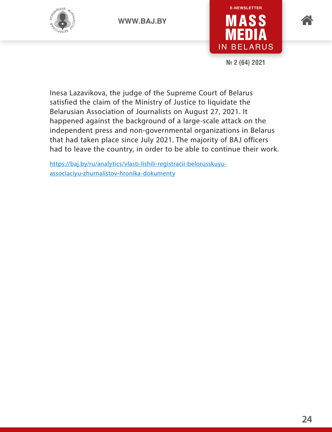





**№ 2 (64) 2021**

Inesa Lazavikova, the judge of the Supreme Court of Belarus satisfied the claim of the Ministry of Justice to liquidate the Belarusian Association of Journalists on August 27, 2021. It happened against the background of a large-scale attack on the independent press and non-governmental organizations in Belarus that had taken place since July 2021. The majority of BAJ officers had to leave the country, in order to be able to continue their work.

[https://baj.by/ru/analytics/vlasti-lishili-registracii-belorusskuyu](https://baj.by/ru/analytics/vlasti-lishili-registracii-belorusskuyu-associaciyu-zhurnalistov-hronika-dokumenty)[associaciyu-zhurnalistov-hronika-dokumenty](https://baj.by/ru/analytics/vlasti-lishili-registracii-belorusskuyu-associaciyu-zhurnalistov-hronika-dokumenty)